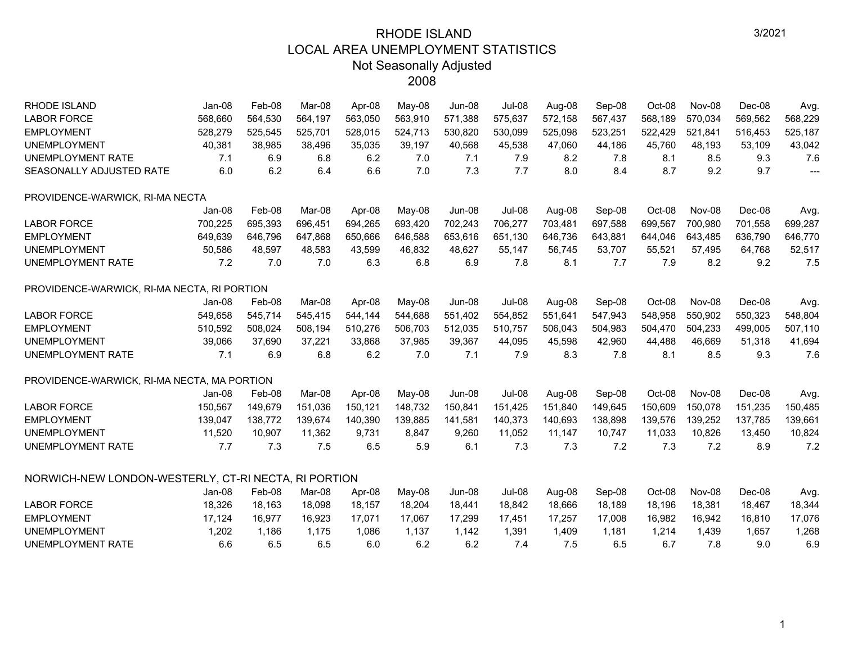| <b>RHODE ISLAND</b>                                  | Jan-08   | Feb-08  | Mar-08  | Apr-08  | May-08  | <b>Jun-08</b> | <b>Jul-08</b> | Aug-08  | Sep-08  | Oct-08  | Nov-08  | Dec-08  | Avg.                     |
|------------------------------------------------------|----------|---------|---------|---------|---------|---------------|---------------|---------|---------|---------|---------|---------|--------------------------|
| <b>LABOR FORCE</b>                                   | 568,660  | 564,530 | 564,197 | 563,050 | 563,910 | 571,388       | 575,637       | 572,158 | 567,437 | 568,189 | 570,034 | 569,562 | 568,229                  |
| <b>EMPLOYMENT</b>                                    | 528,279  | 525,545 | 525,701 | 528,015 | 524,713 | 530,820       | 530,099       | 525,098 | 523,251 | 522,429 | 521,841 | 516,453 | 525,187                  |
| <b>UNEMPLOYMENT</b>                                  | 40,381   | 38,985  | 38,496  | 35,035  | 39,197  | 40,568        | 45,538        | 47,060  | 44,186  | 45,760  | 48,193  | 53,109  | 43,042                   |
| <b>UNEMPLOYMENT RATE</b>                             | 7.1      | 6.9     | 6.8     | 6.2     | 7.0     | 7.1           | 7.9           | 8.2     | 7.8     | 8.1     | 8.5     | 9.3     | 7.6                      |
| SEASONALLY ADJUSTED RATE                             | 6.0      | 6.2     | 6.4     | 6.6     | 7.0     | 7.3           | 7.7           | 8.0     | 8.4     | 8.7     | 9.2     | 9.7     | $\overline{\phantom{a}}$ |
| PROVIDENCE-WARWICK, RI-MA NECTA                      |          |         |         |         |         |               |               |         |         |         |         |         |                          |
|                                                      | Jan-08   | Feb-08  | Mar-08  | Apr-08  | May-08  | Jun-08        | <b>Jul-08</b> | Aug-08  | Sep-08  | Oct-08  | Nov-08  | Dec-08  | Avg.                     |
| <b>LABOR FORCE</b>                                   | 700,225  | 695,393 | 696,451 | 694,265 | 693,420 | 702,243       | 706,277       | 703,481 | 697,588 | 699,567 | 700,980 | 701,558 | 699,287                  |
| <b>EMPLOYMENT</b>                                    | 649,639  | 646,796 | 647,868 | 650,666 | 646,588 | 653,616       | 651,130       | 646,736 | 643,881 | 644,046 | 643,485 | 636,790 | 646,770                  |
| <b>UNEMPLOYMENT</b>                                  | 50,586   | 48,597  | 48,583  | 43,599  | 46,832  | 48,627        | 55,147        | 56,745  | 53,707  | 55,521  | 57,495  | 64,768  | 52,517                   |
| UNEMPLOYMENT RATE                                    | 7.2      | 7.0     | 7.0     | 6.3     | 6.8     | 6.9           | 7.8           | 8.1     | 7.7     | 7.9     | 8.2     | 9.2     | 7.5                      |
| PROVIDENCE-WARWICK, RI-MA NECTA, RI PORTION          |          |         |         |         |         |               |               |         |         |         |         |         |                          |
|                                                      | $Jan-08$ | Feb-08  | Mar-08  | Apr-08  | May-08  | <b>Jun-08</b> | <b>Jul-08</b> | Aug-08  | Sep-08  | Oct-08  | Nov-08  | Dec-08  | Avg.                     |
| <b>LABOR FORCE</b>                                   | 549,658  | 545,714 | 545,415 | 544,144 | 544,688 | 551,402       | 554,852       | 551,641 | 547,943 | 548,958 | 550,902 | 550,323 | 548,804                  |
| <b>EMPLOYMENT</b>                                    | 510,592  | 508,024 | 508,194 | 510,276 | 506,703 | 512,035       | 510,757       | 506,043 | 504,983 | 504,470 | 504,233 | 499,005 | 507,110                  |
| <b>UNEMPLOYMENT</b>                                  | 39,066   | 37,690  | 37,221  | 33,868  | 37,985  | 39,367        | 44,095        | 45,598  | 42,960  | 44,488  | 46,669  | 51,318  | 41,694                   |
| UNEMPLOYMENT RATE                                    | 7.1      | 6.9     | 6.8     | 6.2     | 7.0     | 7.1           | 7.9           | 8.3     | 7.8     | 8.1     | 8.5     | 9.3     | 7.6                      |
| PROVIDENCE-WARWICK, RI-MA NECTA, MA PORTION          |          |         |         |         |         |               |               |         |         |         |         |         |                          |
|                                                      | Jan-08   | Feb-08  | Mar-08  | Apr-08  | May-08  | Jun-08        | <b>Jul-08</b> | Aug-08  | Sep-08  | Oct-08  | Nov-08  | Dec-08  | Avg.                     |
| <b>LABOR FORCE</b>                                   | 150,567  | 149,679 | 151,036 | 150,121 | 148,732 | 150,841       | 151,425       | 151,840 | 149,645 | 150,609 | 150,078 | 151,235 | 150,485                  |
| <b>EMPLOYMENT</b>                                    | 139,047  | 138,772 | 139,674 | 140,390 | 139,885 | 141,581       | 140,373       | 140,693 | 138,898 | 139,576 | 139,252 | 137,785 | 139,661                  |
| <b>UNEMPLOYMENT</b>                                  | 11,520   | 10,907  | 11,362  | 9,731   | 8,847   | 9,260         | 11,052        | 11,147  | 10,747  | 11,033  | 10,826  | 13,450  | 10,824                   |
| UNEMPLOYMENT RATE                                    | 7.7      | 7.3     | 7.5     | 6.5     | 5.9     | 6.1           | 7.3           | 7.3     | 7.2     | 7.3     | 7.2     | 8.9     | 7.2                      |
| NORWICH-NEW LONDON-WESTERLY, CT-RI NECTA, RI PORTION |          |         |         |         |         |               |               |         |         |         |         |         |                          |
|                                                      | Jan-08   | Feb-08  | Mar-08  | Apr-08  | May-08  | <b>Jun-08</b> | <b>Jul-08</b> | Aug-08  | Sep-08  | Oct-08  | Nov-08  | Dec-08  | Avg.                     |
| <b>LABOR FORCE</b>                                   | 18,326   | 18,163  | 18,098  | 18,157  | 18,204  | 18,441        | 18,842        | 18,666  | 18,189  | 18,196  | 18,381  | 18,467  | 18,344                   |
| <b>EMPLOYMENT</b>                                    | 17,124   | 16,977  | 16,923  | 17,071  | 17,067  | 17,299        | 17,451        | 17,257  | 17,008  | 16,982  | 16,942  | 16,810  | 17,076                   |
| <b>UNEMPLOYMENT</b>                                  | 1,202    | 1,186   | 1,175   | 1,086   | 1,137   | 1,142         | 1,391         | 1,409   | 1,181   | 1,214   | 1,439   | 1,657   | 1,268                    |
| <b>UNEMPLOYMENT RATE</b>                             | 6.6      | 6.5     | 6.5     | 6.0     | 6.2     | 6.2           | 7.4           | 7.5     | 6.5     | 6.7     | 7.8     | 9.0     | 6.9                      |
|                                                      |          |         |         |         |         |               |               |         |         |         |         |         |                          |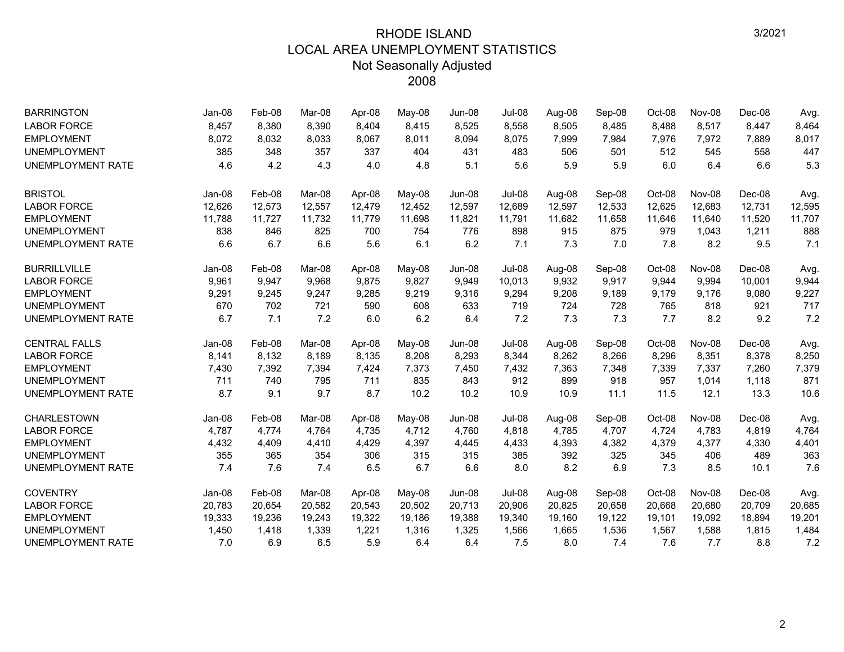| <b>BARRINGTON</b>        | Jan-08   | Feb-08 | Mar-08 | Apr-08 | May-08 | <b>Jun-08</b> | <b>Jul-08</b> | Aug-08 | Sep-08 | Oct-08 | Nov-08 | Dec-08 | Avg.   |
|--------------------------|----------|--------|--------|--------|--------|---------------|---------------|--------|--------|--------|--------|--------|--------|
| <b>LABOR FORCE</b>       | 8,457    | 8,380  | 8,390  | 8,404  | 8,415  | 8,525         | 8,558         | 8,505  | 8,485  | 8,488  | 8,517  | 8,447  | 8,464  |
| <b>EMPLOYMENT</b>        | 8,072    | 8,032  | 8,033  | 8,067  | 8,011  | 8,094         | 8,075         | 7,999  | 7,984  | 7,976  | 7,972  | 7,889  | 8,017  |
| <b>UNEMPLOYMENT</b>      | 385      | 348    | 357    | 337    | 404    | 431           | 483           | 506    | 501    | 512    | 545    | 558    | 447    |
| <b>UNEMPLOYMENT RATE</b> | 4.6      | 4.2    | 4.3    | 4.0    | 4.8    | 5.1           | 5.6           | 5.9    | 5.9    | 6.0    | 6.4    | 6.6    | 5.3    |
| <b>BRISTOL</b>           | Jan-08   | Feb-08 | Mar-08 | Apr-08 | May-08 | <b>Jun-08</b> | Jul-08        | Aug-08 | Sep-08 | Oct-08 | Nov-08 | Dec-08 | Avg.   |
| <b>LABOR FORCE</b>       | 12,626   | 12,573 | 12,557 | 12,479 | 12,452 | 12,597        | 12,689        | 12,597 | 12,533 | 12,625 | 12,683 | 12,731 | 12,595 |
| <b>EMPLOYMENT</b>        | 11,788   | 11,727 | 11,732 | 11,779 | 11,698 | 11,821        | 11,791        | 11,682 | 11,658 | 11,646 | 11,640 | 11,520 | 11,707 |
| <b>UNEMPLOYMENT</b>      | 838      | 846    | 825    | 700    | 754    | 776           | 898           | 915    | 875    | 979    | 1,043  | 1,211  | 888    |
| <b>UNEMPLOYMENT RATE</b> | 6.6      | 6.7    | 6.6    | 5.6    | 6.1    | 6.2           | 7.1           | 7.3    | 7.0    | 7.8    | 8.2    | 9.5    | 7.1    |
| <b>BURRILLVILLE</b>      | Jan-08   | Feb-08 | Mar-08 | Apr-08 | May-08 | <b>Jun-08</b> | Jul-08        | Aug-08 | Sep-08 | Oct-08 | Nov-08 | Dec-08 | Avg.   |
| <b>LABOR FORCE</b>       | 9,961    | 9,947  | 9,968  | 9,875  | 9,827  | 9,949         | 10,013        | 9,932  | 9,917  | 9,944  | 9,994  | 10,001 | 9,944  |
| <b>EMPLOYMENT</b>        | 9,291    | 9,245  | 9,247  | 9,285  | 9,219  | 9,316         | 9,294         | 9,208  | 9,189  | 9,179  | 9,176  | 9,080  | 9,227  |
| <b>UNEMPLOYMENT</b>      | 670      | 702    | 721    | 590    | 608    | 633           | 719           | 724    | 728    | 765    | 818    | 921    | 717    |
| <b>UNEMPLOYMENT RATE</b> | 6.7      | 7.1    | 7.2    | 6.0    | 6.2    | 6.4           | 7.2           | 7.3    | 7.3    | 7.7    | 8.2    | 9.2    | 7.2    |
| <b>CENTRAL FALLS</b>     | $Jan-08$ | Feb-08 | Mar-08 | Apr-08 | May-08 | Jun-08        | <b>Jul-08</b> | Aug-08 | Sep-08 | Oct-08 | Nov-08 | Dec-08 | Avg.   |
| <b>LABOR FORCE</b>       | 8,141    | 8,132  | 8,189  | 8,135  | 8,208  | 8,293         | 8,344         | 8,262  | 8,266  | 8,296  | 8,351  | 8,378  | 8,250  |
| <b>EMPLOYMENT</b>        | 7,430    | 7,392  | 7,394  | 7,424  | 7,373  | 7,450         | 7,432         | 7,363  | 7,348  | 7,339  | 7,337  | 7,260  | 7,379  |
| <b>UNEMPLOYMENT</b>      | 711      | 740    | 795    | 711    | 835    | 843           | 912           | 899    | 918    | 957    | 1,014  | 1,118  | 871    |
| <b>UNEMPLOYMENT RATE</b> | 8.7      | 9.1    | 9.7    | 8.7    | 10.2   | 10.2          | 10.9          | 10.9   | 11.1   | 11.5   | 12.1   | 13.3   | 10.6   |
| <b>CHARLESTOWN</b>       | Jan-08   | Feb-08 | Mar-08 | Apr-08 | May-08 | Jun-08        | <b>Jul-08</b> | Aug-08 | Sep-08 | Oct-08 | Nov-08 | Dec-08 | Avg.   |
| <b>LABOR FORCE</b>       | 4,787    | 4,774  | 4.764  | 4,735  | 4,712  | 4,760         | 4,818         | 4,785  | 4,707  | 4,724  | 4,783  | 4,819  | 4,764  |
| <b>EMPLOYMENT</b>        | 4,432    | 4,409  | 4,410  | 4,429  | 4,397  | 4,445         | 4,433         | 4,393  | 4,382  | 4,379  | 4,377  | 4,330  | 4,401  |
| <b>UNEMPLOYMENT</b>      | 355      | 365    | 354    | 306    | 315    | 315           | 385           | 392    | 325    | 345    | 406    | 489    | 363    |
| <b>UNEMPLOYMENT RATE</b> | 7.4      | 7.6    | 7.4    | 6.5    | 6.7    | 6.6           | 8.0           | 8.2    | 6.9    | 7.3    | 8.5    | 10.1   | 7.6    |
| <b>COVENTRY</b>          | Jan-08   | Feb-08 | Mar-08 | Apr-08 | May-08 | Jun-08        | Jul-08        | Aug-08 | Sep-08 | Oct-08 | Nov-08 | Dec-08 | Avg.   |
| <b>LABOR FORCE</b>       | 20,783   | 20,654 | 20,582 | 20,543 | 20,502 | 20,713        | 20,906        | 20,825 | 20,658 | 20,668 | 20,680 | 20,709 | 20,685 |
| <b>EMPLOYMENT</b>        | 19,333   | 19,236 | 19,243 | 19,322 | 19,186 | 19,388        | 19,340        | 19,160 | 19,122 | 19,101 | 19,092 | 18,894 | 19,201 |
| <b>UNEMPLOYMENT</b>      | 1,450    | 1,418  | 1,339  | 1,221  | 1,316  | 1,325         | 1,566         | 1,665  | 1,536  | 1,567  | 1,588  | 1,815  | 1,484  |
| <b>UNEMPLOYMENT RATE</b> | 7.0      | 6.9    | 6.5    | 5.9    | 6.4    | 6.4           | 7.5           | 8.0    | 7.4    | 7.6    | 7.7    | 8.8    | 7.2    |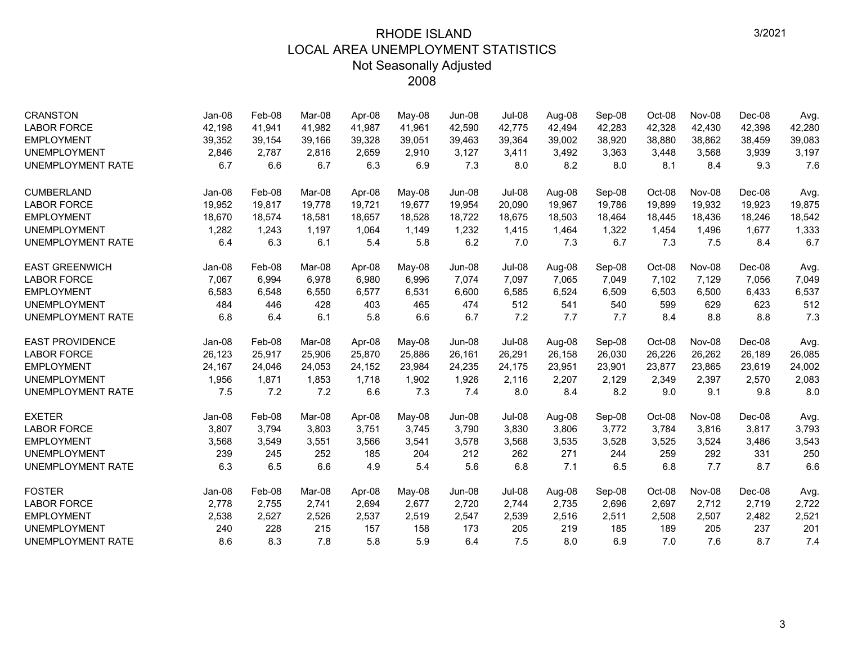| <b>CRANSTON</b>          | Jan-08 | Feb-08 | Mar-08 | Apr-08 | May-08   | <b>Jun-08</b> | <b>Jul-08</b> | Aug-08 | Sep-08 | Oct-08 | <b>Nov-08</b> | Dec-08 | Avg.   |
|--------------------------|--------|--------|--------|--------|----------|---------------|---------------|--------|--------|--------|---------------|--------|--------|
| <b>LABOR FORCE</b>       | 42,198 | 41,941 | 41.982 | 41.987 | 41,961   | 42,590        | 42,775        | 42,494 | 42,283 | 42,328 | 42.430        | 42,398 | 42,280 |
| <b>EMPLOYMENT</b>        | 39,352 | 39,154 | 39,166 | 39,328 | 39,051   | 39,463        | 39,364        | 39,002 | 38,920 | 38,880 | 38,862        | 38,459 | 39,083 |
| <b>UNEMPLOYMENT</b>      | 2,846  | 2,787  | 2,816  | 2,659  | 2,910    | 3,127         | 3,411         | 3,492  | 3,363  | 3,448  | 3,568         | 3,939  | 3,197  |
| <b>UNEMPLOYMENT RATE</b> | 6.7    | 6.6    | 6.7    | 6.3    | 6.9      | 7.3           | 8.0           | 8.2    | 8.0    | 8.1    | 8.4           | 9.3    | 7.6    |
| <b>CUMBERLAND</b>        | Jan-08 | Feb-08 | Mar-08 | Apr-08 | $Mav-08$ | <b>Jun-08</b> | Jul-08        | Aug-08 | Sep-08 | Oct-08 | Nov-08        | Dec-08 | Avg.   |
| <b>LABOR FORCE</b>       | 19,952 | 19,817 | 19.778 | 19.721 | 19,677   | 19,954        | 20,090        | 19,967 | 19,786 | 19,899 | 19,932        | 19,923 | 19,875 |
| <b>EMPLOYMENT</b>        | 18,670 | 18,574 | 18,581 | 18,657 | 18,528   | 18,722        | 18,675        | 18,503 | 18,464 | 18,445 | 18,436        | 18,246 | 18,542 |
| <b>UNEMPLOYMENT</b>      | 1,282  | 1,243  | 1,197  | 1,064  | 1,149    | 1,232         | 1,415         | 1,464  | 1,322  | 1,454  | 1,496         | 1,677  | 1,333  |
| UNEMPLOYMENT RATE        | 6.4    | 6.3    | 6.1    | 5.4    | 5.8      | 6.2           | 7.0           | 7.3    | 6.7    | 7.3    | 7.5           | 8.4    | 6.7    |
| <b>EAST GREENWICH</b>    | Jan-08 | Feb-08 | Mar-08 | Apr-08 | May-08   | Jun-08        | <b>Jul-08</b> | Aug-08 | Sep-08 | Oct-08 | Nov-08        | Dec-08 | Avg.   |
| <b>LABOR FORCE</b>       | 7,067  | 6,994  | 6,978  | 6,980  | 6,996    | 7,074         | 7,097         | 7,065  | 7,049  | 7,102  | 7,129         | 7,056  | 7,049  |
| <b>EMPLOYMENT</b>        | 6,583  | 6,548  | 6,550  | 6,577  | 6,531    | 6,600         | 6,585         | 6,524  | 6,509  | 6,503  | 6,500         | 6,433  | 6,537  |
| <b>UNEMPLOYMENT</b>      | 484    | 446    | 428    | 403    | 465      | 474           | 512           | 541    | 540    | 599    | 629           | 623    | 512    |
| UNEMPLOYMENT RATE        | 6.8    | 6.4    | 6.1    | 5.8    | 6.6      | 6.7           | 7.2           | 7.7    | 7.7    | 8.4    | 8.8           | 8.8    | 7.3    |
| <b>EAST PROVIDENCE</b>   | Jan-08 | Feb-08 | Mar-08 | Apr-08 | May-08   | <b>Jun-08</b> | Jul-08        | Aug-08 | Sep-08 | Oct-08 | Nov-08        | Dec-08 | Avg.   |
| <b>LABOR FORCE</b>       | 26,123 | 25,917 | 25,906 | 25,870 | 25,886   | 26,161        | 26,291        | 26,158 | 26,030 | 26,226 | 26,262        | 26,189 | 26,085 |
| <b>EMPLOYMENT</b>        | 24,167 | 24,046 | 24,053 | 24,152 | 23,984   | 24,235        | 24,175        | 23,951 | 23,901 | 23,877 | 23,865        | 23,619 | 24,002 |
| <b>UNEMPLOYMENT</b>      | 1,956  | 1,871  | 1,853  | 1,718  | 1,902    | 1,926         | 2,116         | 2,207  | 2,129  | 2,349  | 2,397         | 2,570  | 2,083  |
| UNEMPLOYMENT RATE        | 7.5    | 7.2    | 7.2    | 6.6    | 7.3      | 7.4           | 8.0           | 8.4    | 8.2    | 9.0    | 9.1           | 9.8    | 8.0    |
| <b>EXETER</b>            | Jan-08 | Feb-08 | Mar-08 | Apr-08 | May-08   | <b>Jun-08</b> | Jul-08        | Aug-08 | Sep-08 | Oct-08 | Nov-08        | Dec-08 | Avg.   |
| <b>LABOR FORCE</b>       | 3,807  | 3,794  | 3,803  | 3,751  | 3,745    | 3,790         | 3,830         | 3,806  | 3,772  | 3,784  | 3,816         | 3,817  | 3,793  |
| <b>EMPLOYMENT</b>        | 3,568  | 3,549  | 3,551  | 3,566  | 3,541    | 3,578         | 3,568         | 3,535  | 3,528  | 3,525  | 3,524         | 3,486  | 3,543  |
| <b>UNEMPLOYMENT</b>      | 239    | 245    | 252    | 185    | 204      | 212           | 262           | 271    | 244    | 259    | 292           | 331    | 250    |
| UNEMPLOYMENT RATE        | 6.3    | 6.5    | 6.6    | 4.9    | 5.4      | 5.6           | 6.8           | 7.1    | 6.5    | 6.8    | 7.7           | 8.7    | 6.6    |
| <b>FOSTER</b>            | Jan-08 | Feb-08 | Mar-08 | Apr-08 | May-08   | <b>Jun-08</b> | <b>Jul-08</b> | Aug-08 | Sep-08 | Oct-08 | Nov-08        | Dec-08 | Avg.   |
| <b>LABOR FORCE</b>       | 2,778  | 2,755  | 2,741  | 2,694  | 2,677    | 2,720         | 2,744         | 2,735  | 2,696  | 2,697  | 2,712         | 2,719  | 2,722  |
| <b>EMPLOYMENT</b>        | 2,538  | 2,527  | 2,526  | 2,537  | 2,519    | 2,547         | 2,539         | 2,516  | 2,511  | 2,508  | 2,507         | 2,482  | 2,521  |
| <b>UNEMPLOYMENT</b>      | 240    | 228    | 215    | 157    | 158      | 173           | 205           | 219    | 185    | 189    | 205           | 237    | 201    |
| UNEMPLOYMENT RATE        | 8.6    | 8.3    | 7.8    | 5.8    | 5.9      | 6.4           | 7.5           | 8.0    | 6.9    | 7.0    | 7.6           | 8.7    | 7.4    |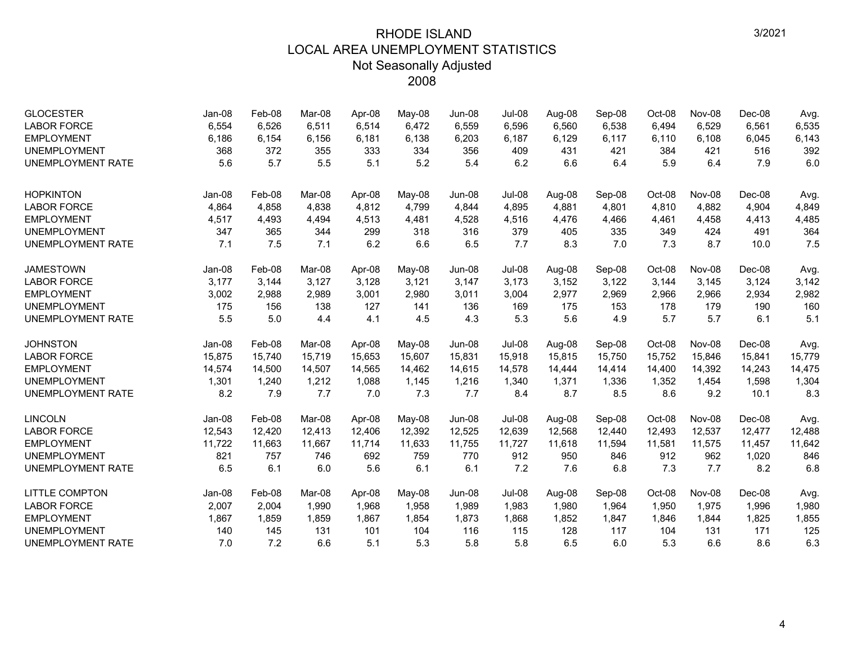| <b>GLOCESTER</b>         | Jan-08 | Feb-08 | Mar-08 | Apr-08 | May-08 | Jun-08        | <b>Jul-08</b> | Aug-08 | Sep-08 | Oct-08 | Nov-08 | Dec-08 | Avg.   |
|--------------------------|--------|--------|--------|--------|--------|---------------|---------------|--------|--------|--------|--------|--------|--------|
| <b>LABOR FORCE</b>       | 6,554  | 6,526  | 6,511  | 6,514  | 6,472  | 6,559         | 6,596         | 6,560  | 6,538  | 6,494  | 6,529  | 6,561  | 6,535  |
| <b>EMPLOYMENT</b>        | 6,186  | 6,154  | 6,156  | 6,181  | 6,138  | 6,203         | 6,187         | 6,129  | 6,117  | 6,110  | 6,108  | 6,045  | 6,143  |
| <b>UNEMPLOYMENT</b>      | 368    | 372    | 355    | 333    | 334    | 356           | 409           | 431    | 421    | 384    | 421    | 516    | 392    |
| <b>UNEMPLOYMENT RATE</b> | 5.6    | 5.7    | 5.5    | 5.1    | 5.2    | 5.4           | 6.2           | 6.6    | 6.4    | 5.9    | 6.4    | 7.9    | 6.0    |
| <b>HOPKINTON</b>         | Jan-08 | Feb-08 | Mar-08 | Apr-08 | May-08 | <b>Jun-08</b> | Jul-08        | Aug-08 | Sep-08 | Oct-08 | Nov-08 | Dec-08 | Avg.   |
| <b>LABOR FORCE</b>       | 4,864  | 4,858  | 4,838  | 4,812  | 4,799  | 4,844         | 4,895         | 4,881  | 4,801  | 4,810  | 4,882  | 4,904  | 4,849  |
| <b>EMPLOYMENT</b>        | 4,517  | 4,493  | 4,494  | 4,513  | 4,481  | 4,528         | 4,516         | 4,476  | 4,466  | 4,461  | 4,458  | 4,413  | 4,485  |
| <b>UNEMPLOYMENT</b>      | 347    | 365    | 344    | 299    | 318    | 316           | 379           | 405    | 335    | 349    | 424    | 491    | 364    |
| <b>UNEMPLOYMENT RATE</b> | 7.1    | 7.5    | 7.1    | 6.2    | 6.6    | 6.5           | 7.7           | 8.3    | 7.0    | 7.3    | 8.7    | 10.0   | 7.5    |
| <b>JAMESTOWN</b>         | Jan-08 | Feb-08 | Mar-08 | Apr-08 | May-08 | <b>Jun-08</b> | Jul-08        | Aug-08 | Sep-08 | Oct-08 | Nov-08 | Dec-08 | Avg.   |
| <b>LABOR FORCE</b>       | 3,177  | 3,144  | 3,127  | 3,128  | 3,121  | 3,147         | 3,173         | 3,152  | 3,122  | 3,144  | 3,145  | 3,124  | 3,142  |
| <b>EMPLOYMENT</b>        | 3,002  | 2,988  | 2,989  | 3,001  | 2,980  | 3,011         | 3,004         | 2,977  | 2,969  | 2,966  | 2,966  | 2,934  | 2,982  |
| <b>UNEMPLOYMENT</b>      | 175    | 156    | 138    | 127    | 141    | 136           | 169           | 175    | 153    | 178    | 179    | 190    | 160    |
| <b>UNEMPLOYMENT RATE</b> | 5.5    | 5.0    | 4.4    | 4.1    | 4.5    | 4.3           | 5.3           | 5.6    | 4.9    | 5.7    | 5.7    | 6.1    | 5.1    |
| <b>JOHNSTON</b>          | Jan-08 | Feb-08 | Mar-08 | Apr-08 | May-08 | <b>Jun-08</b> | Jul-08        | Aug-08 | Sep-08 | Oct-08 | Nov-08 | Dec-08 | Avg.   |
| <b>LABOR FORCE</b>       | 15,875 | 15,740 | 15,719 | 15,653 | 15,607 | 15,831        | 15,918        | 15,815 | 15,750 | 15,752 | 15,846 | 15,841 | 15,779 |
| <b>EMPLOYMENT</b>        | 14,574 | 14,500 | 14,507 | 14,565 | 14,462 | 14,615        | 14,578        | 14,444 | 14,414 | 14,400 | 14,392 | 14,243 | 14,475 |
| <b>UNEMPLOYMENT</b>      | 1,301  | 1,240  | 1,212  | 1,088  | 1,145  | 1,216         | 1,340         | 1,371  | 1,336  | 1,352  | 1,454  | 1,598  | 1,304  |
| UNEMPLOYMENT RATE        | 8.2    | 7.9    | 7.7    | 7.0    | 7.3    | 7.7           | 8.4           | 8.7    | 8.5    | 8.6    | 9.2    | 10.1   | 8.3    |
| <b>LINCOLN</b>           | Jan-08 | Feb-08 | Mar-08 | Apr-08 | May-08 | Jun-08        | Jul-08        | Aug-08 | Sep-08 | Oct-08 | Nov-08 | Dec-08 | Avg.   |
| <b>LABOR FORCE</b>       | 12,543 | 12,420 | 12,413 | 12,406 | 12,392 | 12,525        | 12,639        | 12,568 | 12,440 | 12,493 | 12,537 | 12,477 | 12,488 |
| <b>EMPLOYMENT</b>        | 11,722 | 11,663 | 11,667 | 11,714 | 11,633 | 11,755        | 11,727        | 11,618 | 11,594 | 11,581 | 11,575 | 11,457 | 11,642 |
| <b>UNEMPLOYMENT</b>      | 821    | 757    | 746    | 692    | 759    | 770           | 912           | 950    | 846    | 912    | 962    | 1,020  | 846    |
| <b>UNEMPLOYMENT RATE</b> | 6.5    | 6.1    | 6.0    | 5.6    | 6.1    | 6.1           | 7.2           | 7.6    | 6.8    | 7.3    | 7.7    | 8.2    | 6.8    |
| <b>LITTLE COMPTON</b>    | Jan-08 | Feb-08 | Mar-08 | Apr-08 | May-08 | <b>Jun-08</b> | <b>Jul-08</b> | Aug-08 | Sep-08 | Oct-08 | Nov-08 | Dec-08 | Avg.   |
| <b>LABOR FORCE</b>       | 2,007  | 2,004  | 1,990  | 1,968  | 1,958  | 1,989         | 1,983         | 1,980  | 1,964  | 1,950  | 1,975  | 1,996  | 1,980  |
| <b>EMPLOYMENT</b>        | 1,867  | 1,859  | 1,859  | 1,867  | 1,854  | 1,873         | 1,868         | 1,852  | 1,847  | 1,846  | 1,844  | 1,825  | 1,855  |
| <b>UNEMPLOYMENT</b>      | 140    | 145    | 131    | 101    | 104    | 116           | 115           | 128    | 117    | 104    | 131    | 171    | 125    |
| <b>UNEMPLOYMENT RATE</b> | 7.0    | 7.2    | 6.6    | 5.1    | 5.3    | 5.8           | 5.8           | 6.5    | 6.0    | 5.3    | 6.6    | 8.6    | 6.3    |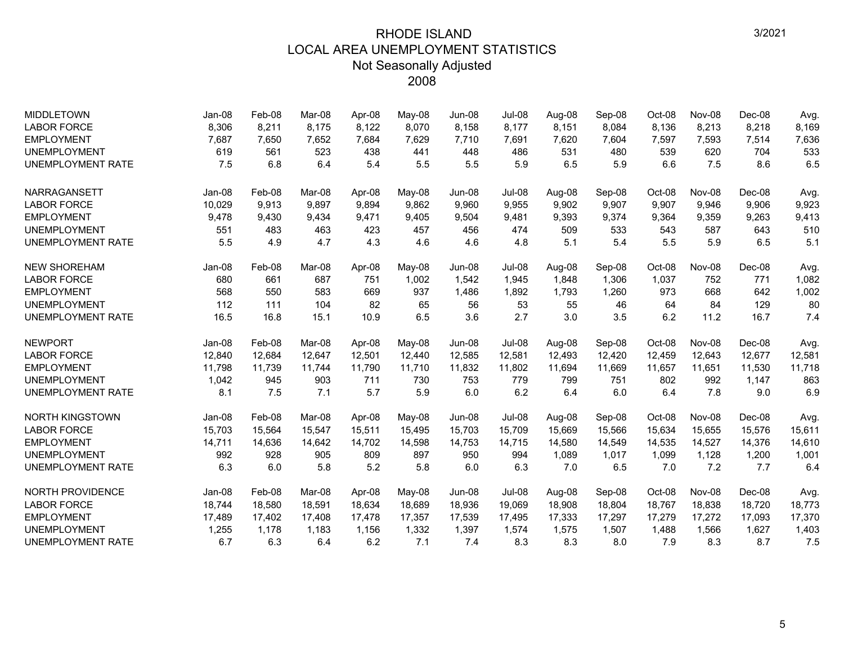| <b>MIDDLETOWN</b>        | Jan-08   | Feb-08 | Mar-08 | Apr-08 | May-08 | Jun-08        | <b>Jul-08</b> | Aug-08 | Sep-08 | Oct-08 | Nov-08 | Dec-08 | Avg.   |
|--------------------------|----------|--------|--------|--------|--------|---------------|---------------|--------|--------|--------|--------|--------|--------|
| <b>LABOR FORCE</b>       | 8,306    | 8,211  | 8,175  | 8,122  | 8,070  | 8,158         | 8,177         | 8,151  | 8,084  | 8,136  | 8,213  | 8,218  | 8,169  |
| <b>EMPLOYMENT</b>        | 7,687    | 7.650  | 7.652  | 7,684  | 7,629  | 7.710         | 7,691         | 7.620  | 7,604  | 7,597  | 7,593  | 7,514  | 7,636  |
| <b>UNEMPLOYMENT</b>      | 619      | 561    | 523    | 438    | 441    | 448           | 486           | 531    | 480    | 539    | 620    | 704    | 533    |
| <b>UNEMPLOYMENT RATE</b> | 7.5      | 6.8    | 6.4    | 5.4    | 5.5    | 5.5           | 5.9           | 6.5    | 5.9    | 6.6    | 7.5    | 8.6    | 6.5    |
| <b>NARRAGANSETT</b>      | Jan-08   | Feb-08 | Mar-08 | Apr-08 | May-08 | Jun-08        | <b>Jul-08</b> | Aug-08 | Sep-08 | Oct-08 | Nov-08 | Dec-08 | Avg.   |
| <b>LABOR FORCE</b>       | 10,029   | 9,913  | 9,897  | 9,894  | 9,862  | 9,960         | 9,955         | 9,902  | 9,907  | 9,907  | 9,946  | 9,906  | 9,923  |
| <b>EMPLOYMENT</b>        | 9,478    | 9,430  | 9,434  | 9,471  | 9,405  | 9.504         | 9,481         | 9,393  | 9,374  | 9,364  | 9,359  | 9,263  | 9,413  |
| <b>UNEMPLOYMENT</b>      | 551      | 483    | 463    | 423    | 457    | 456           | 474           | 509    | 533    | 543    | 587    | 643    | 510    |
| <b>UNEMPLOYMENT RATE</b> | 5.5      | 4.9    | 4.7    | 4.3    | 4.6    | 4.6           | 4.8           | 5.1    | 5.4    | 5.5    | 5.9    | 6.5    | 5.1    |
| <b>NEW SHOREHAM</b>      | Jan-08   | Feb-08 | Mar-08 | Apr-08 | May-08 | Jun-08        | Jul-08        | Aug-08 | Sep-08 | Oct-08 | Nov-08 | Dec-08 | Avg.   |
| <b>LABOR FORCE</b>       | 680      | 661    | 687    | 751    | 1,002  | 1,542         | 1,945         | 1,848  | 1,306  | 1,037  | 752    | 771    | 1,082  |
| <b>EMPLOYMENT</b>        | 568      | 550    | 583    | 669    | 937    | 1,486         | 1,892         | 1,793  | 1,260  | 973    | 668    | 642    | 1,002  |
| <b>UNEMPLOYMENT</b>      | 112      | 111    | 104    | 82     | 65     | 56            | 53            | 55     | 46     | 64     | 84     | 129    | 80     |
| <b>UNEMPLOYMENT RATE</b> | 16.5     | 16.8   | 15.1   | 10.9   | 6.5    | 3.6           | 2.7           | 3.0    | 3.5    | 6.2    | 11.2   | 16.7   | 7.4    |
| <b>NEWPORT</b>           | $Jan-08$ | Feb-08 | Mar-08 | Apr-08 | May-08 | Jun-08        | <b>Jul-08</b> | Aug-08 | Sep-08 | Oct-08 | Nov-08 | Dec-08 | Avg.   |
| <b>LABOR FORCE</b>       | 12,840   | 12,684 | 12,647 | 12,501 | 12,440 | 12,585        | 12,581        | 12,493 | 12,420 | 12,459 | 12,643 | 12,677 | 12,581 |
| <b>EMPLOYMENT</b>        | 11,798   | 11,739 | 11,744 | 11,790 | 11,710 | 11,832        | 11,802        | 11,694 | 11,669 | 11,657 | 11,651 | 11,530 | 11,718 |
| <b>UNEMPLOYMENT</b>      | 1,042    | 945    | 903    | 711    | 730    | 753           | 779           | 799    | 751    | 802    | 992    | 1,147  | 863    |
| <b>UNEMPLOYMENT RATE</b> | 8.1      | 7.5    | 7.1    | 5.7    | 5.9    | 6.0           | 6.2           | 6.4    | 6.0    | 6.4    | 7.8    | 9.0    | 6.9    |
| <b>NORTH KINGSTOWN</b>   | Jan-08   | Feb-08 | Mar-08 | Apr-08 | May-08 | <b>Jun-08</b> | <b>Jul-08</b> | Aug-08 | Sep-08 | Oct-08 | Nov-08 | Dec-08 | Avg.   |
| <b>LABOR FORCE</b>       | 15,703   | 15,564 | 15,547 | 15,511 | 15,495 | 15,703        | 15.709        | 15,669 | 15,566 | 15.634 | 15.655 | 15,576 | 15,611 |
| <b>EMPLOYMENT</b>        | 14,711   | 14,636 | 14,642 | 14,702 | 14,598 | 14,753        | 14,715        | 14,580 | 14,549 | 14,535 | 14,527 | 14,376 | 14,610 |
| <b>UNEMPLOYMENT</b>      | 992      | 928    | 905    | 809    | 897    | 950           | 994           | 1.089  | 1,017  | 1,099  | 1,128  | 1,200  | 1,001  |
| <b>UNEMPLOYMENT RATE</b> | 6.3      | 6.0    | 5.8    | 5.2    | 5.8    | 6.0           | 6.3           | 7.0    | 6.5    | 7.0    | 7.2    | 7.7    | 6.4    |
| <b>NORTH PROVIDENCE</b>  | Jan-08   | Feb-08 | Mar-08 | Apr-08 | May-08 | Jun-08        | <b>Jul-08</b> | Aug-08 | Sep-08 | Oct-08 | Nov-08 | Dec-08 | Avg.   |
| <b>LABOR FORCE</b>       | 18,744   | 18,580 | 18,591 | 18,634 | 18,689 | 18,936        | 19,069        | 18,908 | 18,804 | 18,767 | 18,838 | 18,720 | 18,773 |
| <b>EMPLOYMENT</b>        | 17,489   | 17,402 | 17,408 | 17,478 | 17,357 | 17,539        | 17,495        | 17,333 | 17,297 | 17,279 | 17,272 | 17,093 | 17,370 |
| <b>UNEMPLOYMENT</b>      | 1,255    | 1,178  | 1,183  | 1,156  | 1,332  | 1,397         | 1,574         | 1,575  | 1,507  | 1,488  | 1,566  | 1,627  | 1,403  |
| <b>UNEMPLOYMENT RATE</b> | 6.7      | 6.3    | 6.4    | 6.2    | 7.1    | 7.4           | 8.3           | 8.3    | 8.0    | 7.9    | 8.3    | 8.7    | 7.5    |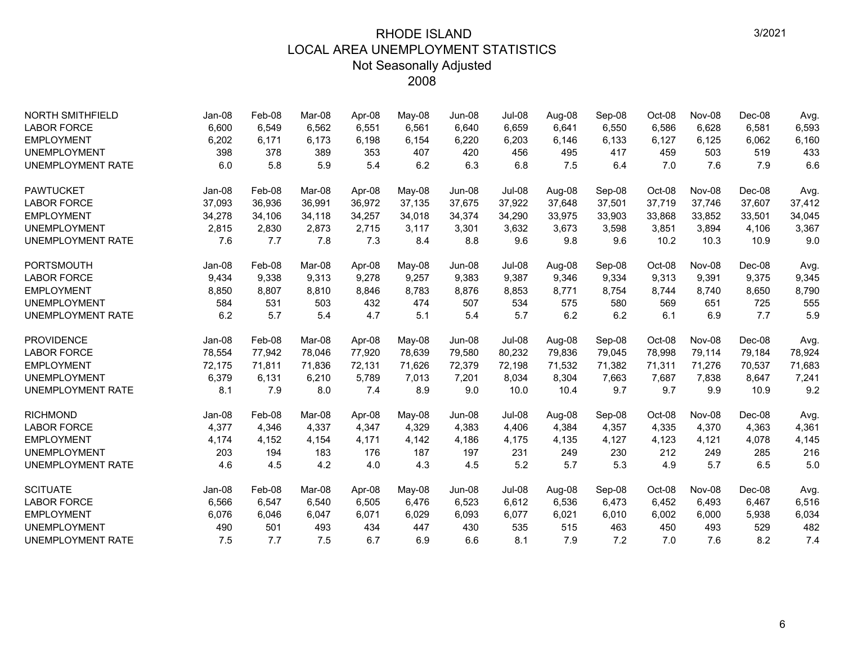| <b>NORTH SMITHFIELD</b>  | Jan-08 | Feb-08 | Mar-08 | Apr-08 | May-08 | Jun-08        | Jul-08        | Aug-08 | Sep-08 | Oct-08 | Nov-08 | Dec-08 | Avg.   |
|--------------------------|--------|--------|--------|--------|--------|---------------|---------------|--------|--------|--------|--------|--------|--------|
| <b>LABOR FORCE</b>       | 6,600  | 6,549  | 6,562  | 6,551  | 6,561  | 6,640         | 6,659         | 6,641  | 6,550  | 6,586  | 6,628  | 6,581  | 6,593  |
| <b>EMPLOYMENT</b>        | 6,202  | 6,171  | 6,173  | 6,198  | 6,154  | 6,220         | 6,203         | 6,146  | 6,133  | 6,127  | 6,125  | 6,062  | 6,160  |
| <b>UNEMPLOYMENT</b>      | 398    | 378    | 389    | 353    | 407    | 420           | 456           | 495    | 417    | 459    | 503    | 519    | 433    |
| <b>UNEMPLOYMENT RATE</b> | 6.0    | 5.8    | 5.9    | 5.4    | 6.2    | 6.3           | 6.8           | 7.5    | 6.4    | 7.0    | 7.6    | 7.9    | 6.6    |
| <b>PAWTUCKET</b>         | Jan-08 | Feb-08 | Mar-08 | Apr-08 | May-08 | <b>Jun-08</b> | <b>Jul-08</b> | Aug-08 | Sep-08 | Oct-08 | Nov-08 | Dec-08 | Avg.   |
| <b>LABOR FORCE</b>       | 37,093 | 36,936 | 36,991 | 36,972 | 37,135 | 37,675        | 37,922        | 37,648 | 37,501 | 37,719 | 37,746 | 37,607 | 37,412 |
| <b>EMPLOYMENT</b>        | 34,278 | 34,106 | 34,118 | 34,257 | 34,018 | 34,374        | 34,290        | 33,975 | 33,903 | 33,868 | 33,852 | 33,501 | 34,045 |
| UNEMPLOYMENT             | 2,815  | 2,830  | 2,873  | 2,715  | 3,117  | 3,301         | 3,632         | 3,673  | 3,598  | 3,851  | 3,894  | 4,106  | 3,367  |
| <b>UNEMPLOYMENT RATE</b> | 7.6    | 7.7    | 7.8    | 7.3    | 8.4    | 8.8           | 9.6           | 9.8    | 9.6    | 10.2   | 10.3   | 10.9   | 9.0    |
| PORTSMOUTH               | Jan-08 | Feb-08 | Mar-08 | Apr-08 | May-08 | <b>Jun-08</b> | Jul-08        | Aug-08 | Sep-08 | Oct-08 | Nov-08 | Dec-08 | Avg.   |
| <b>LABOR FORCE</b>       | 9,434  | 9,338  | 9,313  | 9,278  | 9,257  | 9,383         | 9,387         | 9,346  | 9,334  | 9,313  | 9,391  | 9,375  | 9,345  |
| <b>EMPLOYMENT</b>        | 8,850  | 8,807  | 8,810  | 8,846  | 8,783  | 8,876         | 8,853         | 8,771  | 8,754  | 8,744  | 8,740  | 8,650  | 8,790  |
| <b>UNEMPLOYMENT</b>      | 584    | 531    | 503    | 432    | 474    | 507           | 534           | 575    | 580    | 569    | 651    | 725    | 555    |
| <b>UNEMPLOYMENT RATE</b> | 6.2    | 5.7    | 5.4    | 4.7    | 5.1    | 5.4           | 5.7           | 6.2    | 6.2    | 6.1    | 6.9    | 7.7    | 5.9    |
| <b>PROVIDENCE</b>        | Jan-08 | Feb-08 | Mar-08 | Apr-08 | May-08 | Jun-08        | <b>Jul-08</b> | Aug-08 | Sep-08 | Oct-08 | Nov-08 | Dec-08 | Avg.   |
| <b>LABOR FORCE</b>       | 78,554 | 77,942 | 78,046 | 77,920 | 78,639 | 79,580        | 80,232        | 79,836 | 79,045 | 78,998 | 79,114 | 79,184 | 78,924 |
| <b>EMPLOYMENT</b>        | 72,175 | 71,811 | 71,836 | 72,131 | 71,626 | 72,379        | 72,198        | 71,532 | 71,382 | 71,311 | 71,276 | 70,537 | 71,683 |
| <b>UNEMPLOYMENT</b>      | 6,379  | 6,131  | 6,210  | 5,789  | 7,013  | 7,201         | 8,034         | 8,304  | 7,663  | 7,687  | 7,838  | 8,647  | 7,241  |
| <b>UNEMPLOYMENT RATE</b> | 8.1    | 7.9    | 8.0    | 7.4    | 8.9    | 9.0           | 10.0          | 10.4   | 9.7    | 9.7    | 9.9    | 10.9   | 9.2    |
| <b>RICHMOND</b>          | Jan-08 | Feb-08 | Mar-08 | Apr-08 | May-08 | <b>Jun-08</b> | Jul-08        | Aug-08 | Sep-08 | Oct-08 | Nov-08 | Dec-08 | Avg.   |
| <b>LABOR FORCE</b>       | 4,377  | 4,346  | 4,337  | 4,347  | 4,329  | 4,383         | 4,406         | 4,384  | 4,357  | 4,335  | 4,370  | 4,363  | 4,361  |
| <b>EMPLOYMENT</b>        | 4,174  | 4,152  | 4,154  | 4,171  | 4,142  | 4,186         | 4,175         | 4,135  | 4,127  | 4,123  | 4,121  | 4,078  | 4,145  |
| <b>UNEMPLOYMENT</b>      | 203    | 194    | 183    | 176    | 187    | 197           | 231           | 249    | 230    | 212    | 249    | 285    | 216    |
| <b>UNEMPLOYMENT RATE</b> | 4.6    | 4.5    | 4.2    | 4.0    | 4.3    | 4.5           | 5.2           | 5.7    | 5.3    | 4.9    | 5.7    | 6.5    | 5.0    |
| <b>SCITUATE</b>          | Jan-08 | Feb-08 | Mar-08 | Apr-08 | May-08 | <b>Jun-08</b> | Jul-08        | Aug-08 | Sep-08 | Oct-08 | Nov-08 | Dec-08 | Avg.   |
| <b>LABOR FORCE</b>       | 6,566  | 6,547  | 6,540  | 6,505  | 6,476  | 6,523         | 6,612         | 6,536  | 6,473  | 6,452  | 6,493  | 6,467  | 6,516  |
| <b>EMPLOYMENT</b>        | 6,076  | 6,046  | 6,047  | 6,071  | 6,029  | 6,093         | 6,077         | 6,021  | 6,010  | 6,002  | 6,000  | 5,938  | 6,034  |
| UNEMPLOYMENT             | 490    | 501    | 493    | 434    | 447    | 430           | 535           | 515    | 463    | 450    | 493    | 529    | 482    |
| <b>UNEMPLOYMENT RATE</b> | 7.5    | 7.7    | 7.5    | 6.7    | 6.9    | 6.6           | 8.1           | 7.9    | 7.2    | 7.0    | 7.6    | 8.2    | 7.4    |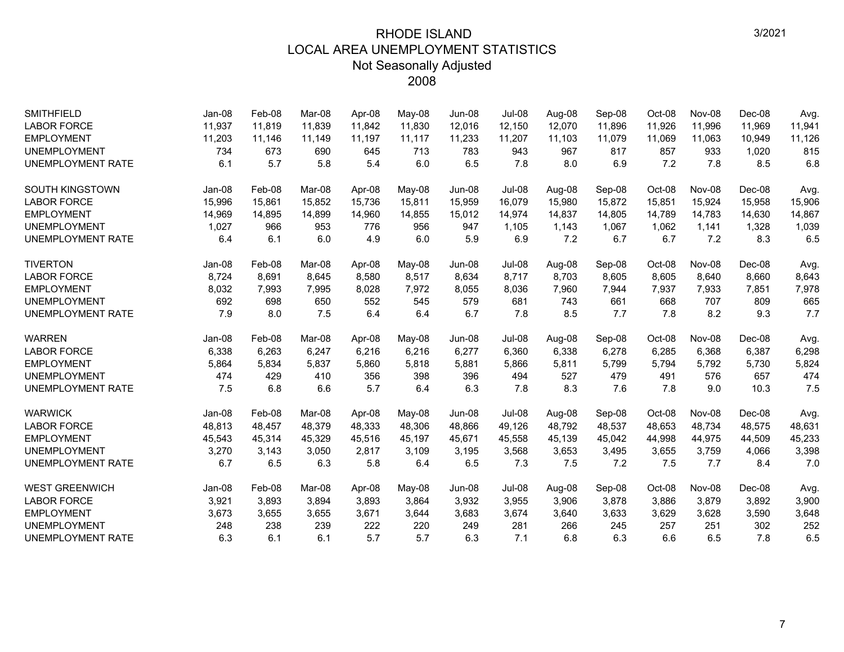| <b>SMITHFIELD</b>        | Jan-08 | Feb-08 | Mar-08 | Apr-08 | May-08 | <b>Jun-08</b> | <b>Jul-08</b> | Aug-08 | Sep-08 | Oct-08 | Nov-08 | Dec-08 | Avg.   |
|--------------------------|--------|--------|--------|--------|--------|---------------|---------------|--------|--------|--------|--------|--------|--------|
| <b>LABOR FORCE</b>       | 11,937 | 11,819 | 11.839 | 11,842 | 11,830 | 12,016        | 12,150        | 12,070 | 11,896 | 11,926 | 11,996 | 11,969 | 11,941 |
| <b>EMPLOYMENT</b>        | 11,203 | 11,146 | 11,149 | 11,197 | 11,117 | 11,233        | 11,207        | 11,103 | 11,079 | 11,069 | 11,063 | 10,949 | 11,126 |
| <b>UNEMPLOYMENT</b>      | 734    | 673    | 690    | 645    | 713    | 783           | 943           | 967    | 817    | 857    | 933    | 1,020  | 815    |
| <b>UNEMPLOYMENT RATE</b> | 6.1    | 5.7    | 5.8    | 5.4    | 6.0    | 6.5           | 7.8           | 8.0    | 6.9    | 7.2    | 7.8    | 8.5    | 6.8    |
| <b>SOUTH KINGSTOWN</b>   | Jan-08 | Feb-08 | Mar-08 | Apr-08 | May-08 | Jun-08        | <b>Jul-08</b> | Aug-08 | Sep-08 | Oct-08 | Nov-08 | Dec-08 | Avg.   |
| <b>LABOR FORCE</b>       | 15,996 | 15,861 | 15,852 | 15,736 | 15,811 | 15,959        | 16,079        | 15,980 | 15,872 | 15,851 | 15,924 | 15,958 | 15,906 |
| <b>EMPLOYMENT</b>        | 14,969 | 14,895 | 14,899 | 14,960 | 14,855 | 15,012        | 14,974        | 14,837 | 14,805 | 14,789 | 14,783 | 14,630 | 14,867 |
| <b>UNEMPLOYMENT</b>      | 1,027  | 966    | 953    | 776    | 956    | 947           | 1,105         | 1,143  | 1,067  | 1,062  | 1,141  | 1,328  | 1,039  |
| <b>UNEMPLOYMENT RATE</b> | 6.4    | 6.1    | 6.0    | 4.9    | 6.0    | 5.9           | 6.9           | 7.2    | 6.7    | 6.7    | 7.2    | 8.3    | 6.5    |
| <b>TIVERTON</b>          | Jan-08 | Feb-08 | Mar-08 | Apr-08 | May-08 | Jun-08        | Jul-08        | Aug-08 | Sep-08 | Oct-08 | Nov-08 | Dec-08 | Avg.   |
| <b>LABOR FORCE</b>       | 8,724  | 8,691  | 8,645  | 8,580  | 8,517  | 8,634         | 8,717         | 8,703  | 8,605  | 8,605  | 8,640  | 8,660  | 8,643  |
| <b>EMPLOYMENT</b>        | 8,032  | 7,993  | 7,995  | 8,028  | 7,972  | 8,055         | 8,036         | 7,960  | 7,944  | 7,937  | 7,933  | 7,851  | 7,978  |
| <b>UNEMPLOYMENT</b>      | 692    | 698    | 650    | 552    | 545    | 579           | 681           | 743    | 661    | 668    | 707    | 809    | 665    |
| <b>UNEMPLOYMENT RATE</b> | 7.9    | 8.0    | 7.5    | 6.4    | 6.4    | 6.7           | 7.8           | 8.5    | 7.7    | 7.8    | 8.2    | 9.3    | 7.7    |
| <b>WARREN</b>            | Jan-08 | Feb-08 | Mar-08 | Apr-08 | May-08 | <b>Jun-08</b> | Jul-08        | Aug-08 | Sep-08 | Oct-08 | Nov-08 | Dec-08 | Avg.   |
| <b>LABOR FORCE</b>       | 6,338  | 6,263  | 6,247  | 6,216  | 6,216  | 6,277         | 6,360         | 6,338  | 6,278  | 6,285  | 6,368  | 6,387  | 6,298  |
| <b>EMPLOYMENT</b>        | 5,864  | 5,834  | 5,837  | 5,860  | 5,818  | 5,881         | 5,866         | 5,811  | 5,799  | 5,794  | 5,792  | 5,730  | 5,824  |
| <b>UNEMPLOYMENT</b>      | 474    | 429    | 410    | 356    | 398    | 396           | 494           | 527    | 479    | 491    | 576    | 657    | 474    |
| UNEMPLOYMENT RATE        | 7.5    | 6.8    | 6.6    | 5.7    | 6.4    | 6.3           | 7.8           | 8.3    | 7.6    | 7.8    | 9.0    | 10.3   | 7.5    |
| <b>WARWICK</b>           | Jan-08 | Feb-08 | Mar-08 | Apr-08 | May-08 | Jun-08        | Jul-08        | Aug-08 | Sep-08 | Oct-08 | Nov-08 | Dec-08 | Avg.   |
| <b>LABOR FORCE</b>       | 48,813 | 48,457 | 48,379 | 48,333 | 48,306 | 48,866        | 49,126        | 48,792 | 48,537 | 48,653 | 48,734 | 48,575 | 48,631 |
| <b>EMPLOYMENT</b>        | 45,543 | 45,314 | 45.329 | 45,516 | 45,197 | 45,671        | 45,558        | 45,139 | 45,042 | 44,998 | 44,975 | 44,509 | 45,233 |
| <b>UNEMPLOYMENT</b>      | 3,270  | 3,143  | 3,050  | 2,817  | 3,109  | 3,195         | 3,568         | 3,653  | 3,495  | 3,655  | 3,759  | 4,066  | 3,398  |
| <b>UNEMPLOYMENT RATE</b> | 6.7    | 6.5    | 6.3    | 5.8    | 6.4    | 6.5           | 7.3           | 7.5    | 7.2    | 7.5    | 7.7    | 8.4    | 7.0    |
| <b>WEST GREENWICH</b>    | Jan-08 | Feb-08 | Mar-08 | Apr-08 | May-08 | Jun-08        | <b>Jul-08</b> | Aug-08 | Sep-08 | Oct-08 | Nov-08 | Dec-08 | Avg.   |
| <b>LABOR FORCE</b>       | 3,921  | 3,893  | 3,894  | 3,893  | 3,864  | 3,932         | 3,955         | 3,906  | 3,878  | 3,886  | 3,879  | 3,892  | 3,900  |
| <b>EMPLOYMENT</b>        | 3,673  | 3,655  | 3,655  | 3,671  | 3,644  | 3,683         | 3,674         | 3,640  | 3,633  | 3,629  | 3,628  | 3,590  | 3,648  |
| <b>UNEMPLOYMENT</b>      | 248    | 238    | 239    | 222    | 220    | 249           | 281           | 266    | 245    | 257    | 251    | 302    | 252    |
| <b>UNEMPLOYMENT RATE</b> | 6.3    | 6.1    | 6.1    | 5.7    | 5.7    | 6.3           | 7.1           | 6.8    | 6.3    | 6.6    | 6.5    | 7.8    | 6.5    |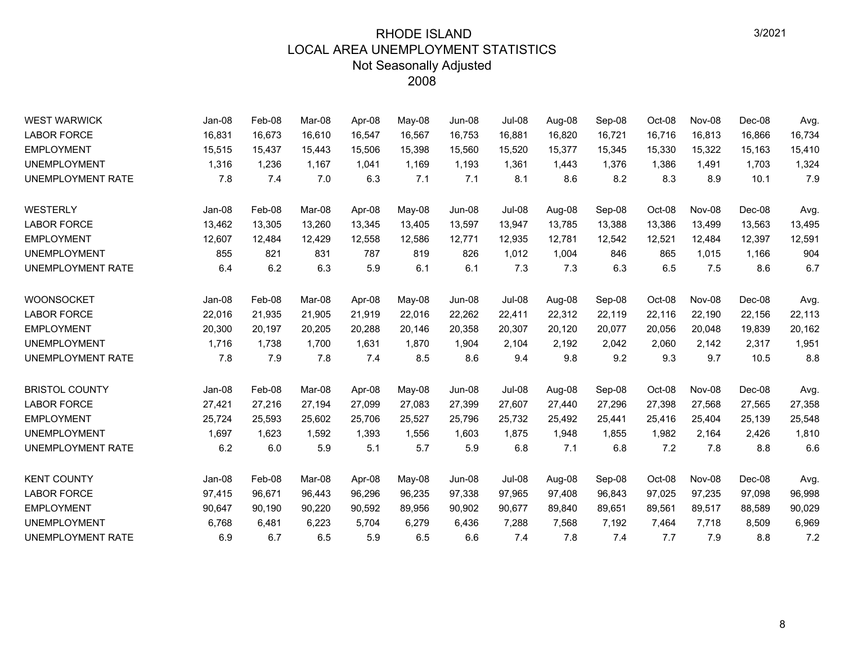| <b>WEST WARWICK</b>      | Jan-08   | Feb-08 | Mar-08 | Apr-08 | May-08 | <b>Jun-08</b> | <b>Jul-08</b> | Aug-08 | Sep-08 | Oct-08 | Nov-08 | Dec-08 | Avg.   |
|--------------------------|----------|--------|--------|--------|--------|---------------|---------------|--------|--------|--------|--------|--------|--------|
| <b>LABOR FORCE</b>       | 16,831   | 16,673 | 16,610 | 16,547 | 16,567 | 16,753        | 16,881        | 16,820 | 16,721 | 16,716 | 16,813 | 16,866 | 16,734 |
| <b>EMPLOYMENT</b>        | 15,515   | 15,437 | 15,443 | 15,506 | 15,398 | 15,560        | 15,520        | 15,377 | 15,345 | 15,330 | 15,322 | 15,163 | 15,410 |
| <b>UNEMPLOYMENT</b>      | 1,316    | 1,236  | 1.167  | 1,041  | 1,169  | 1,193         | 1,361         | 1,443  | 1,376  | 1,386  | 1,491  | 1,703  | 1,324  |
| <b>UNEMPLOYMENT RATE</b> | 7.8      | 7.4    | 7.0    | 6.3    | 7.1    | 7.1           | 8.1           | 8.6    | 8.2    | 8.3    | 8.9    | 10.1   | 7.9    |
| WESTERLY                 | $Jan-08$ | Feb-08 | Mar-08 | Apr-08 | May-08 | <b>Jun-08</b> | <b>Jul-08</b> | Aug-08 | Sep-08 | Oct-08 | Nov-08 | Dec-08 | Avg.   |
| <b>LABOR FORCE</b>       | 13,462   | 13,305 | 13,260 | 13,345 | 13,405 | 13,597        | 13,947        | 13,785 | 13,388 | 13,386 | 13,499 | 13,563 | 13,495 |
| <b>EMPLOYMENT</b>        | 12,607   | 12,484 | 12,429 | 12,558 | 12,586 | 12,771        | 12,935        | 12,781 | 12,542 | 12,521 | 12,484 | 12,397 | 12,591 |
| <b>UNEMPLOYMENT</b>      | 855      | 821    | 831    | 787    | 819    | 826           | 1,012         | 1,004  | 846    | 865    | 1,015  | 1.166  | 904    |
| UNEMPLOYMENT RATE        | 6.4      | 6.2    | 6.3    | 5.9    | 6.1    | 6.1           | 7.3           | 7.3    | 6.3    | 6.5    | 7.5    | 8.6    | 6.7    |
| <b>WOONSOCKET</b>        | $Jan-08$ | Feb-08 | Mar-08 | Apr-08 | May-08 | <b>Jun-08</b> | <b>Jul-08</b> | Aug-08 | Sep-08 | Oct-08 | Nov-08 | Dec-08 | Avg.   |
| <b>LABOR FORCE</b>       | 22,016   | 21,935 | 21,905 | 21,919 | 22,016 | 22,262        | 22,411        | 22,312 | 22,119 | 22,116 | 22,190 | 22,156 | 22,113 |
| <b>EMPLOYMENT</b>        | 20,300   | 20,197 | 20,205 | 20,288 | 20,146 | 20,358        | 20,307        | 20,120 | 20,077 | 20,056 | 20,048 | 19,839 | 20,162 |
| <b>UNEMPLOYMENT</b>      | 1,716    | 1,738  | 1,700  | 1,631  | 1,870  | 1,904         | 2,104         | 2,192  | 2,042  | 2,060  | 2,142  | 2,317  | 1,951  |
| UNEMPLOYMENT RATE        | 7.8      | 7.9    | 7.8    | 7.4    | 8.5    | 8.6           | 9.4           | 9.8    | 9.2    | 9.3    | 9.7    | 10.5   | 8.8    |
| <b>BRISTOL COUNTY</b>    | Jan-08   | Feb-08 | Mar-08 | Apr-08 | May-08 | <b>Jun-08</b> | Jul-08        | Aug-08 | Sep-08 | Oct-08 | Nov-08 | Dec-08 | Avg.   |
| <b>LABOR FORCE</b>       | 27,421   | 27,216 | 27,194 | 27,099 | 27,083 | 27,399        | 27,607        | 27,440 | 27,296 | 27,398 | 27,568 | 27,565 | 27,358 |
| <b>EMPLOYMENT</b>        | 25,724   | 25,593 | 25,602 | 25,706 | 25,527 | 25,796        | 25,732        | 25,492 | 25,441 | 25,416 | 25,404 | 25,139 | 25,548 |
| <b>UNEMPLOYMENT</b>      | 1,697    | 1,623  | 1,592  | 1,393  | 1,556  | 1,603         | 1,875         | 1,948  | 1,855  | 1,982  | 2,164  | 2,426  | 1,810  |
| UNEMPLOYMENT RATE        | 6.2      | 6.0    | 5.9    | 5.1    | 5.7    | 5.9           | 6.8           | 7.1    | 6.8    | 7.2    | 7.8    | 8.8    | 6.6    |
| <b>KENT COUNTY</b>       | Jan-08   | Feb-08 | Mar-08 | Apr-08 | May-08 | Jun-08        | Jul-08        | Aug-08 | Sep-08 | Oct-08 | Nov-08 | Dec-08 | Avg.   |
| <b>LABOR FORCE</b>       | 97,415   | 96,671 | 96,443 | 96,296 | 96,235 | 97,338        | 97,965        | 97,408 | 96,843 | 97,025 | 97,235 | 97,098 | 96,998 |
| <b>EMPLOYMENT</b>        | 90,647   | 90,190 | 90,220 | 90,592 | 89,956 | 90,902        | 90,677        | 89,840 | 89,651 | 89,561 | 89,517 | 88,589 | 90,029 |
| <b>UNEMPLOYMENT</b>      | 6,768    | 6,481  | 6,223  | 5,704  | 6,279  | 6,436         | 7,288         | 7,568  | 7,192  | 7,464  | 7,718  | 8,509  | 6,969  |
| UNEMPLOYMENT RATE        | 6.9      | 6.7    | 6.5    | 5.9    | 6.5    | 6.6           | 7.4           | 7.8    | 7.4    | 7.7    | 7.9    | 8.8    | 7.2    |